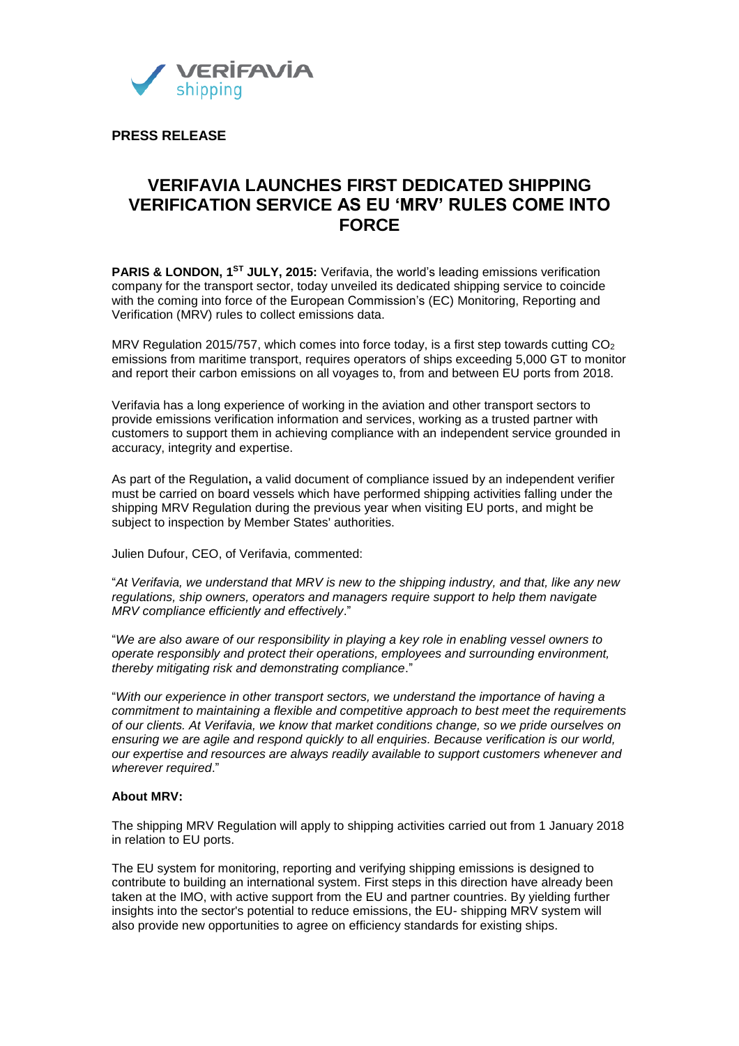

**PRESS RELEASE**

## **VERIFAVIA LAUNCHES FIRST DEDICATED SHIPPING VERIFICATION SERVICE AS EU 'MRV' RULES COME INTO FORCE**

**PARIS & LONDON, 1ST JULY, 2015:** Verifavia, the world's leading emissions verification company for the transport sector, today unveiled its dedicated shipping service to coincide with the coming into force of the European Commission's (EC) Monitoring, Reporting and Verification (MRV) rules to collect emissions data.

MRV Regulation 2015/757, which comes into force today, is a first step towards cutting  $CO<sub>2</sub>$ emissions from maritime transport, requires operators of ships exceeding 5,000 GT to monitor and report their carbon emissions on all voyages to, from and between EU ports from 2018.

Verifavia has a long experience of working in the aviation and other transport sectors to provide emissions verification information and services, working as a trusted partner with customers to support them in achieving compliance with an independent service grounded in accuracy, integrity and expertise.

As part of the Regulation**,** a valid document of compliance issued by an independent verifier must be carried on board vessels which have performed shipping activities falling under the shipping MRV Regulation during the previous year when visiting EU ports, and might be subject to inspection by Member States' authorities.

Julien Dufour, CEO, of Verifavia, commented:

"*At Verifavia, we understand that MRV is new to the shipping industry, and that, like any new regulations, ship owners, operators and managers require support to help them navigate MRV compliance efficiently and effectively*."

"*We are also aware of our responsibility in playing a key role in enabling vessel owners to operate responsibly and protect their operations, employees and surrounding environment, thereby mitigating risk and demonstrating compliance*."

"*With our experience in other transport sectors, we understand the importance of having a commitment to maintaining a flexible and competitive approach to best meet the requirements of our clients. At Verifavia, we know that market conditions change, so we pride ourselves on ensuring we are agile and respond quickly to all enquiries. Because verification is our world, our expertise and resources are always readily available to support customers whenever and wherever required*."

## **About MRV:**

The shipping MRV Regulation will apply to shipping activities carried out from 1 January 2018 in relation to EU ports.

The EU system for monitoring, reporting and verifying shipping emissions is designed to contribute to building an international system. First steps in this direction have already been taken at the IMO, with active support from the EU and partner countries. By yielding further insights into the sector's potential to reduce emissions, the EU- shipping MRV system will also provide new opportunities to agree on efficiency standards for existing ships.